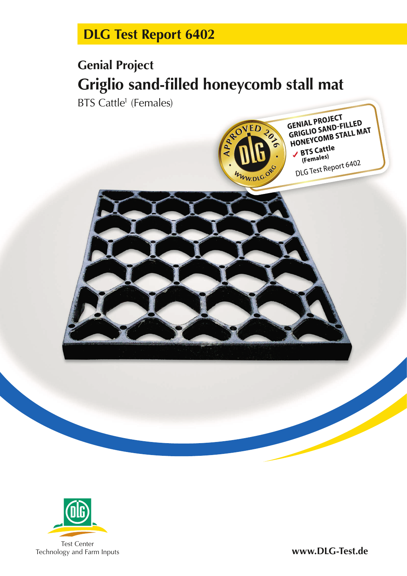# **DLG Test Report 6402**

# **Genial Project Griglio sand-filled honeycomb stall mat**

BTS Cattle<sup>1</sup> (Females)





**www.DLG-Test.de**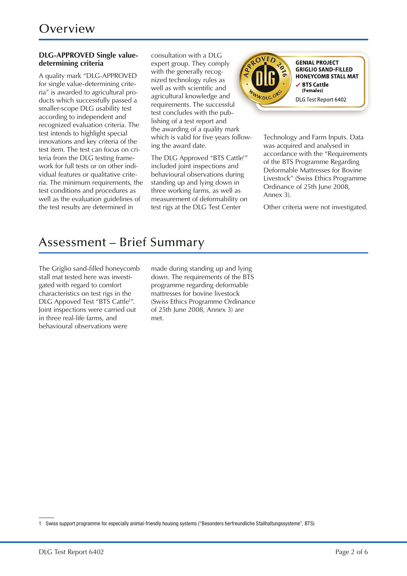#### **DLG-APPROVED Single valuedetermining criteria**

A quality mark "DLG-APPROVED for single value-determining criteria" is awarded to agricultural products which successfully passed a smaller-scope DLG usability test according to independent and re cognized evaluation criteria. The test intends to highlight special innovations and key criteria of the test item. The test can focus on criteria from the DLG testing framework for full tests or on other individual features or qualitative criteria. The minimum requirements, the test conditions and procedures as well as the evaluation guidelines of the test results are determined in

consultation with a DLG expert group. They comply with the generally recognized technology rules as well as with scientific and agricultural knowledge and requirements. The successful test concludes with the publishing of a test report and the awarding of a quality mark which is valid for five years following the award date.

The DLG Approved "BTS Cattle<sup>1</sup>" included joint inspections and behavioural observations during standing up and lying down in three working farms, as well as measurement of deformability on test rigs at the DLG Test Center



**GENIAL PROJECT GRIGLIO SAND-FILLED HONEYCOMB STALL MAT** ✔ BTS Cattle (Females) DLG Test Report 6402

Technology and Farm Inputs. Data was acquired and analysed in accordance with the "Requirements of the BTS Programme Regarding Deformable Mattresses for Bovine Livestock" (Swiss Ethics Programme Ordinance of 25th June 2008, Annex 3).

Other criteria were not investigated.

### Assessment – Brief Summary

The Griglio sand-filled honeycomb stall mat tested here was investigated with regard to comfort characteristics on test rigs in the DLG Appoved Test "BTS Cattle<sup>1</sup>". Joint inspections were carried out in three real-life farms, and be havioural observations were

made during standing up and lying down. The requirements of the BTS programme regarding deformable mattresses for bovine livestock (Swiss Ethics Programme Ordinance of 25th June 2008, Annex 3) are met.

<sup>1</sup> Swiss support programme for especially animal-friendly housing systems ("Besonders tierfreundliche Stallhaltungssysteme", BTS)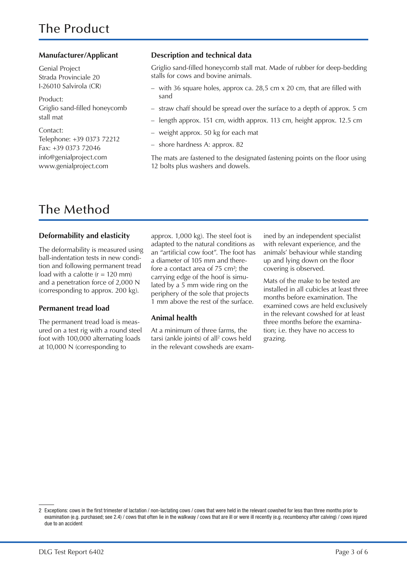Genial Project Strada Provinciale 20 I-26010 Salvirola (CR)

Product: Griglio sand-filled honeycomb stall mat

Contact: Telephone: +39 0373 72212 Fax: +39 0373 72046 info@genialproject.com www.genialproject.com

#### **Manufacturer/Applicant Description and technical data**

Griglio sand-filled honeycomb stall mat. Made of rubber for deep-bedding stalls for cows and bovine animals.

- with 36 square holes, approx ca. 28,5 cm x 20 cm, that are filled with sand
- straw chaff should be spread over the surface to a depth of approx. 5 cm
- length approx. 151 cm, width approx. 113 cm, height approx. 12.5 cm
- weight approx. 50 kg for each mat
- shore hardness A: approx. 82

The mats are fastened to the designated fastening points on the floor using 12 bolts plus washers and dowels.

### The Method

#### **Deformability and elasticity**

The deformability is measured using ball-indentation tests in new condition and following permanent tread load with a calotte  $(r = 120$  mm) and a penetration force of 2,000 N (corresponding to approx. 200 kg).

#### **Permanent tread load**

The permanent tread load is measured on a test rig with a round steel foot with 100,000 alternating loads at 10,000 N (corresponding to

approx. 1,000 kg). The steel foot is adapted to the natural conditions as an "artificial cow foot". The foot has a diameter of 105 mm and therefore a contact area of 75 cm²; the carrying edge of the hoof is simulated by a 5 mm wide ring on the periphery of the sole that projects 1 mm above the rest of the surface.

#### **Animal health**

At a minimum of three farms, the tarsi (ankle joints) of all<sup>2</sup> cows held in the relevant cowsheds are examined by an independent specialist with relevant experience, and the animals' behaviour while standing up and lying down on the floor covering is observed.

Mats of the make to be tested are installed in all cubicles at least three months before examination. The examined cows are held exclusively in the relevant cowshed for at least three months before the examination; i.e. they have no access to grazing.

<sup>2</sup> Exceptions: cows in the first trimester of lactation / non-lactating cows / cows that were held in the relevant cowshed for less than three months prior to examination (e.g. purchased; see 2.4) / cows that often lie in the walkway / cows that are ill or were ill recently (e.g. recumbency after calving) / cows injured due to an accident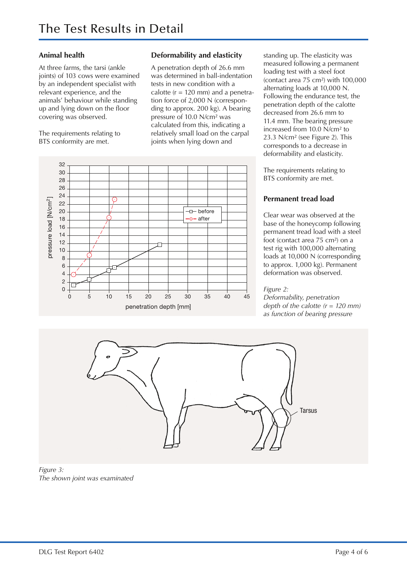#### **Animal health**

At three farms, the tarsi (ankle joints) of 103 cows were examined by an independent specialist with relevant experience, and the animals' behaviour while standing up and lying down on the floor covering was observed.

The requirements relating to BTS conformity are met.

### **Deformability and elasticity**

A penetration depth of 26.6 mm was determined in ball-indentation tests in new condition with a calotte  $(r = 120 \text{ mm})$  and a penetration force of 2,000 N (corresponding to approx. 200 kg). A bearing pressure of 10.0 N/cm² was cal culated from this, indicating a relatively small load on the carpal joints when lying down and



standing up. The elasticity was measured following a permanent loading test with a steel foot (contact area 75 cm²) with 100,000 alternating loads at 10,000 N. Following the endurance test, the penetration depth of the calotte decreased from 26.6 mm to 11.4 mm. The bearing pressure increased from 10.0 N/cm² to 23.3 N/cm² (see Figure 2). This corresponds to a decrease in deformability and elasticity.

The requirements relating to BTS conformity are met.

#### **Permanent tread load**

Clear wear was observed at the base of the honeycomp following permanent tread load with a steel foot (contact area 75 cm²) on a test rig with 100,000 alternating loads at 10,000 N (corresponding to approx. 1,000 kg). Permanent deformation was observed.

#### *Figure 2:*

*Deformability, penetration depth of the calotte (r = 120 mm) as function of bearing pressure*



*Figure 3: The shown joint was examinated*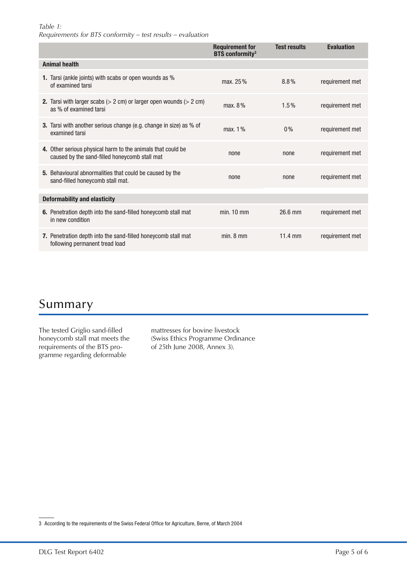#### *Table 1: Requirements for BTS conformity – test results – evaluation*

|                                     |                                                                                                                         | <b>Requirement for</b><br><b>BTS</b> conformity <sup>3</sup> | <b>Test results</b> | <b>Evaluation</b> |
|-------------------------------------|-------------------------------------------------------------------------------------------------------------------------|--------------------------------------------------------------|---------------------|-------------------|
| <b>Animal health</b>                |                                                                                                                         |                                                              |                     |                   |
|                                     | 1. Tarsi (ankle joints) with scabs or open wounds as %<br>of examined tarsi                                             | max. 25%                                                     | $8.8\%$             | requirement met   |
|                                     | <b>2.</b> Tarsi with larger scabs $(> 2 \text{ cm})$ or larger open wounds $(> 2 \text{ cm})$<br>as % of examined tarsi | max. $8\%$                                                   | $1.5\%$             | requirement met   |
|                                     | <b>3.</b> Tarsi with another serious change (e.g. change in size) as % of<br>examined tarsi                             | max. 1%                                                      | $0\%$               | requirement met   |
|                                     | 4. Other serious physical harm to the animals that could be<br>caused by the sand-filled honeycomb stall mat            | none                                                         | none                | requirement met   |
|                                     | 5. Behavioural abnormalities that could be caused by the<br>sand-filled honeycomb stall mat.                            | none                                                         | none                | requirement met   |
| <b>Deformability and elasticity</b> |                                                                                                                         |                                                              |                     |                   |
|                                     | 6. Penetration depth into the sand-filled honeycomb stall mat<br>in new condition                                       | $min. 10$ mm                                                 | 26.6 mm             | requirement met   |
|                                     | 7. Penetration depth into the sand-filled honeycomb stall mat<br>following permanent tread load                         | min. 8 mm                                                    | 11.4 mm             | requirement met   |

### Summary

The tested Griglio sand-filled honeycomb stall mat meets the requirements of the BTS programme regarding deformable

mattresses for bovine livestock (Swiss Ethics Programme Ordinance of 25th June 2008, Annex 3).

3 According to the requirements of the Swiss Federal Office for Agriculture, Berne, of March 2004